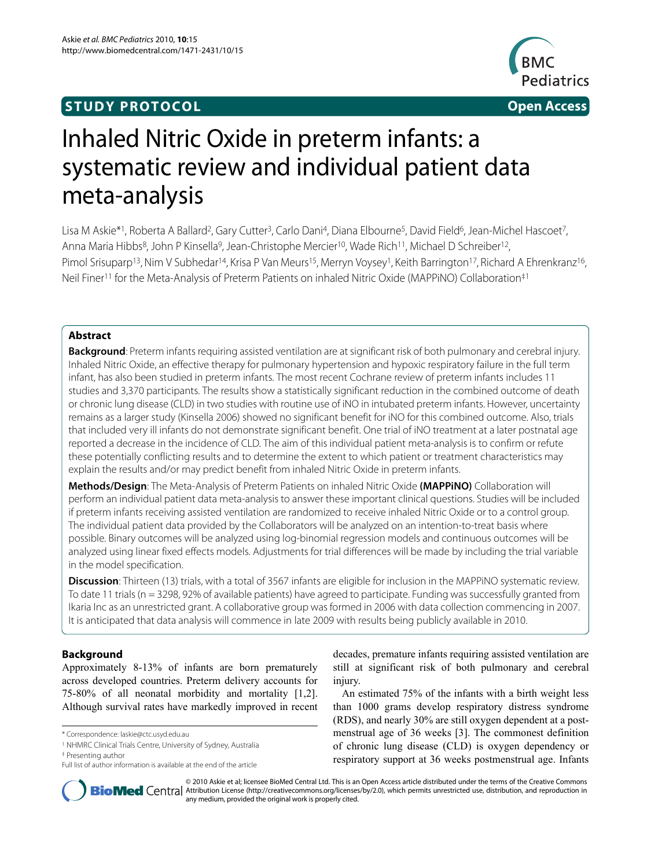# **STUDY PROTOCOL Open Access**



# Inhaled Nitric Oxide in preterm infants: a systematic review and individual patient data meta-analysis

Lisa M Askie\*1, Roberta A Ballard<sup>2</sup>, Gary Cutter<sup>3</sup>, Carlo Dani<sup>4</sup>, Diana Elbourne<sup>5</sup>, David Field<sup>6</sup>, Jean-Michel Hascoet<sup>7</sup>, Anna Maria Hibbs<sup>8</sup>, John P Kinsella<sup>9</sup>, Jean-Christophe Mercier<sup>10</sup>, Wade Rich<sup>11</sup>, Michael D Schreiber<sup>12</sup>, Pimol Srisuparp<sup>13</sup>, Nim V Subhedar<sup>14</sup>, Krisa P Van Meurs<sup>15</sup>, Merryn Voysey<sup>1</sup>, Keith Barrington<sup>17</sup>, Richard A Ehrenkranz<sup>16</sup>, Neil Finer11 for the Meta-Analysis of Preterm Patients on inhaled Nitric Oxide (MAPPiNO) Collaboration‡1

# **Abstract**

**Background**: Preterm infants requiring assisted ventilation are at significant risk of both pulmonary and cerebral injury. Inhaled Nitric Oxide, an effective therapy for pulmonary hypertension and hypoxic respiratory failure in the full term infant, has also been studied in preterm infants. The most recent Cochrane review of preterm infants includes 11 studies and 3,370 participants. The results show a statistically significant reduction in the combined outcome of death or chronic lung disease (CLD) in two studies with routine use of iNO in intubated preterm infants. However, uncertainty remains as a larger study (Kinsella 2006) showed no significant benefit for iNO for this combined outcome. Also, trials that included very ill infants do not demonstrate significant benefit. One trial of iNO treatment at a later postnatal age reported a decrease in the incidence of CLD. The aim of this individual patient meta-analysis is to confirm or refute these potentially conflicting results and to determine the extent to which patient or treatment characteristics may explain the results and/or may predict benefit from inhaled Nitric Oxide in preterm infants.

**Methods/Design**: The Meta-Analysis of Preterm Patients on inhaled Nitric Oxide **(MAPPiNO)** Collaboration will perform an individual patient data meta-analysis to answer these important clinical questions. Studies will be included if preterm infants receiving assisted ventilation are randomized to receive inhaled Nitric Oxide or to a control group. The individual patient data provided by the Collaborators will be analyzed on an intention-to-treat basis where possible. Binary outcomes will be analyzed using log-binomial regression models and continuous outcomes will be analyzed using linear fixed effects models. Adjustments for trial differences will be made by including the trial variable in the model specification.

**Discussion**: Thirteen (13) trials, with a total of 3567 infants are eligible for inclusion in the MAPPiNO systematic review. To date 11 trials (n = 3298, 92% of available patients) have agreed to participate. Funding was successfully granted from Ikaria Inc as an unrestricted grant. A collaborative group was formed in 2006 with data collection commencing in 2007. It is anticipated that data analysis will commence in late 2009 with results being publicly available in 2010.

# **Background**

Approximately 8-13% of infants are born prematurely across developed countries. Preterm delivery accounts for 75-80% of all neonatal morbidity and mortality [[1,](#page-9-0)[2\]](#page-9-1). Although survival rates have markedly improved in recent decades, premature infants requiring assisted ventilation are still at significant risk of both pulmonary and cerebral injury.

An estimated 75% of the infants with a birth weight less than 1000 grams develop respiratory distress syndrome (RDS), and nearly 30% are still oxygen dependent at a postmenstrual age of 36 weeks [\[3](#page-9-2)]. The commonest definition of chronic lung disease (CLD) is oxygen dependency or respiratory support at 36 weeks postmenstrual age. Infants



© 2010 Askie et al; licensee BioMed Central Ltd. This is an Open Access article distributed under the terms of the Creative Commons **Bio Med** Central Attribution License (http://creativecommons.org/licenses/by/2.0), which permits unrestricted use, distribution, and reproduction in any medium, provided the original work is properly cited.

<sup>\*</sup> Correspondence: laskie@ctc.usyd.edu.au

<sup>1</sup> NHMRC Clinical Trials Centre, University of Sydney, Australia

<sup>‡</sup> Presenting author

Full list of author information is available at the end of the article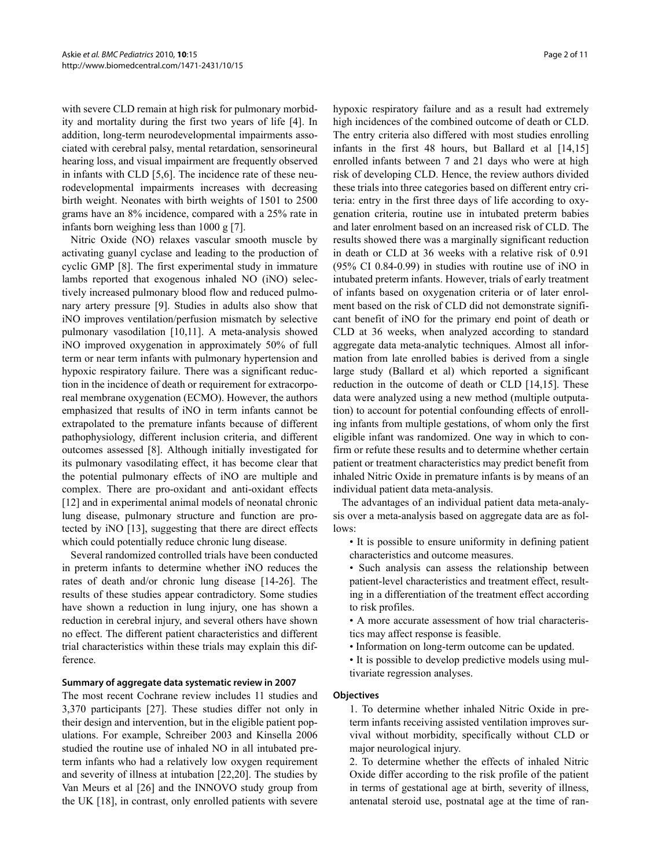with severe CLD remain at high risk for pulmonary morbidity and mortality during the first two years of life [[4\]](#page-9-3). In addition, long-term neurodevelopmental impairments associated with cerebral palsy, mental retardation, sensorineural hearing loss, and visual impairment are frequently observed in infants with CLD [\[5](#page-9-4),[6\]](#page-9-5). The incidence rate of these neurodevelopmental impairments increases with decreasing birth weight. Neonates with birth weights of 1501 to 2500 grams have an 8% incidence, compared with a 25% rate in infants born weighing less than 1000 g [\[7](#page-9-6)].

Nitric Oxide (NO) relaxes vascular smooth muscle by activating guanyl cyclase and leading to the production of cyclic GMP [\[8](#page-9-7)]. The first experimental study in immature lambs reported that exogenous inhaled NO (iNO) selectively increased pulmonary blood flow and reduced pulmonary artery pressure [[9\]](#page-9-8). Studies in adults also show that iNO improves ventilation/perfusion mismatch by selective pulmonary vasodilation [\[10](#page-9-9)[,11\]](#page-9-10). A meta-analysis showed iNO improved oxygenation in approximately 50% of full term or near term infants with pulmonary hypertension and hypoxic respiratory failure. There was a significant reduction in the incidence of death or requirement for extracorporeal membrane oxygenation (ECMO). However, the authors emphasized that results of iNO in term infants cannot be extrapolated to the premature infants because of different pathophysiology, different inclusion criteria, and different outcomes assessed [\[8](#page-9-7)]. Although initially investigated for its pulmonary vasodilating effect, it has become clear that the potential pulmonary effects of iNO are multiple and complex. There are pro-oxidant and anti-oxidant effects [[12\]](#page-9-11) and in experimental animal models of neonatal chronic lung disease, pulmonary structure and function are protected by iNO [[13](#page-9-12)], suggesting that there are direct effects which could potentially reduce chronic lung disease.

Several randomized controlled trials have been conducted in preterm infants to determine whether iNO reduces the rates of death and/or chronic lung disease [[14-](#page-9-13)[26\]](#page-9-14). The results of these studies appear contradictory. Some studies have shown a reduction in lung injury, one has shown a reduction in cerebral injury, and several others have shown no effect. The different patient characteristics and different trial characteristics within these trials may explain this difference.

# **Summary of aggregate data systematic review in 2007**

The most recent Cochrane review includes 11 studies and 3,370 participants [\[27\]](#page-9-15). These studies differ not only in their design and intervention, but in the eligible patient populations. For example, Schreiber 2003 and Kinsella 2006 studied the routine use of inhaled NO in all intubated preterm infants who had a relatively low oxygen requirement and severity of illness at intubation [\[22](#page-9-16)[,20](#page-9-17)]. The studies by Van Meurs et al [\[26](#page-9-14)] and the INNOVO study group from the UK [[18\]](#page-9-18), in contrast, only enrolled patients with severe

hypoxic respiratory failure and as a result had extremely high incidences of the combined outcome of death or CLD. The entry criteria also differed with most studies enrolling infants in the first 48 hours, but Ballard et al [\[14](#page-9-13),[15](#page-9-19)] enrolled infants between 7 and 21 days who were at high risk of developing CLD. Hence, the review authors divided these trials into three categories based on different entry criteria: entry in the first three days of life according to oxygenation criteria, routine use in intubated preterm babies and later enrolment based on an increased risk of CLD. The results showed there was a marginally significant reduction in death or CLD at 36 weeks with a relative risk of 0.91 (95% CI 0.84-0.99) in studies with routine use of iNO in intubated preterm infants. However, trials of early treatment of infants based on oxygenation criteria or of later enrolment based on the risk of CLD did not demonstrate significant benefit of iNO for the primary end point of death or CLD at 36 weeks, when analyzed according to standard aggregate data meta-analytic techniques. Almost all information from late enrolled babies is derived from a single large study (Ballard et al) which reported a significant reduction in the outcome of death or CLD [[14,](#page-9-13)[15\]](#page-9-19). These data were analyzed using a new method (multiple outputation) to account for potential confounding effects of enrolling infants from multiple gestations, of whom only the first eligible infant was randomized. One way in which to confirm or refute these results and to determine whether certain patient or treatment characteristics may predict benefit from inhaled Nitric Oxide in premature infants is by means of an individual patient data meta-analysis.

The advantages of an individual patient data meta-analysis over a meta-analysis based on aggregate data are as follows:

• It is possible to ensure uniformity in defining patient characteristics and outcome measures.

- Such analysis can assess the relationship between patient-level characteristics and treatment effect, resulting in a differentiation of the treatment effect according to risk profiles.
- A more accurate assessment of how trial characteristics may affect response is feasible.
- Information on long-term outcome can be updated.
- It is possible to develop predictive models using multivariate regression analyses.

#### **Objectives**

1. To determine whether inhaled Nitric Oxide in preterm infants receiving assisted ventilation improves survival without morbidity, specifically without CLD or major neurological injury.

2. To determine whether the effects of inhaled Nitric Oxide differ according to the risk profile of the patient in terms of gestational age at birth, severity of illness, antenatal steroid use, postnatal age at the time of ran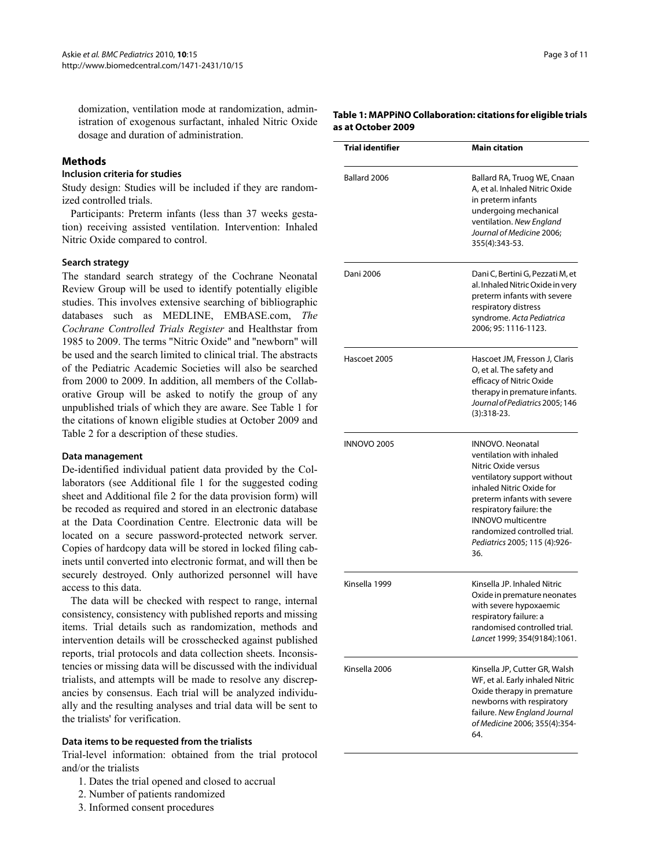domization, ventilation mode at randomization, administration of exogenous surfactant, inhaled Nitric Oxide dosage and duration of administration.

#### **Methods**

## **Inclusion criteria for studies**

Study design: Studies will be included if they are randomized controlled trials.

Participants: Preterm infants (less than 37 weeks gestation) receiving assisted ventilation. Intervention: Inhaled Nitric Oxide compared to control.

### **Search strategy**

The standard search strategy of the Cochrane Neonatal Review Group will be used to identify potentially eligible studies. This involves extensive searching of bibliographic databases such as MEDLINE, EMBASE.com, *The Cochrane Controlled Trials Register* and Healthstar from 1985 to 2009. The terms "Nitric Oxide" and "newborn" will be used and the search limited to clinical trial. The abstracts of the Pediatric Academic Societies will also be searched from 2000 to 2009. In addition, all members of the Collaborative Group will be asked to notify the group of any unpublished trials of which they are aware. See Table [1](#page-2-0) for the citations of known eligible studies at October 2009 and Table 2 for a description of these studies.

#### **Data management**

De-identified individual patient data provided by the Collaborators (see Additional file [1](#page-8-0) for the suggested coding sheet and Additional file [2](#page-8-1) for the data provision form) will be recoded as required and stored in an electronic database at the Data Coordination Centre. Electronic data will be located on a secure password-protected network server. Copies of hardcopy data will be stored in locked filing cabinets until converted into electronic format, and will then be securely destroyed. Only authorized personnel will have access to this data.

The data will be checked with respect to range, internal consistency, consistency with published reports and missing items. Trial details such as randomization, methods and intervention details will be crosschecked against published reports, trial protocols and data collection sheets. Inconsistencies or missing data will be discussed with the individual trialists, and attempts will be made to resolve any discrepancies by consensus. Each trial will be analyzed individually and the resulting analyses and trial data will be sent to the trialists' for verification.

# **Data items to be requested from the trialists**

Trial-level information: obtained from the trial protocol and/or the trialists

- 1. Dates the trial opened and closed to accrual
- 2. Number of patients randomized
- 3. Informed consent procedures

| Page 3 of 11 |  |  |  |  |
|--------------|--|--|--|--|
|--------------|--|--|--|--|

#### <span id="page-2-0"></span>**Table 1: MAPPiNO Collaboration: citations for eligible trials as at October 2009**

| <b>Trial identifier</b> | <b>Main citation</b>                                                                                                                                                                                                                                                                                  |
|-------------------------|-------------------------------------------------------------------------------------------------------------------------------------------------------------------------------------------------------------------------------------------------------------------------------------------------------|
| Ballard 2006            | Ballard RA, Truog WE, Cnaan<br>A, et al. Inhaled Nitric Oxide<br>in preterm infants<br>undergoing mechanical<br>ventilation. New England<br>Journal of Medicine 2006;<br>355(4):343-53.                                                                                                               |
| Dani 2006               | Dani C, Bertini G, Pezzati M, et<br>al. Inhaled Nitric Oxide in very<br>preterm infants with severe<br>respiratory distress<br>syndrome. Acta Pediatrica<br>2006; 95: 1116-1123.                                                                                                                      |
| Hascoet 2005            | Hascoet JM, Fresson J, Claris<br>O, et al. The safety and<br>efficacy of Nitric Oxide<br>therapy in premature infants.<br>Journal of Pediatrics 2005; 146<br>$(3):318-23.$                                                                                                                            |
| <b>INNOVO 2005</b>      | <b>INNOVO. Neonatal</b><br>ventilation with inhaled<br>Nitric Oxide versus<br>ventilatory support without<br>inhaled Nitric Oxide for<br>preterm infants with severe<br>respiratory failure: the<br><b>INNOVO</b> multicentre<br>randomized controlled trial.<br>Pediatrics 2005; 115 (4):926-<br>36. |
| Kinsella 1999           | Kinsella JP. Inhaled Nitric<br>Oxide in premature neonates<br>with severe hypoxaemic<br>respiratory failure: a<br>randomised controlled trial.<br>Lancet 1999; 354(9184):1061.                                                                                                                        |
| Kinsella 2006           | Kinsella JP, Cutter GR, Walsh<br>WF, et al. Early inhaled Nitric<br>Oxide therapy in premature<br>newborns with respiratory<br>failure. New England Journal<br>of Medicine 2006; 355(4):354-<br>64.                                                                                                   |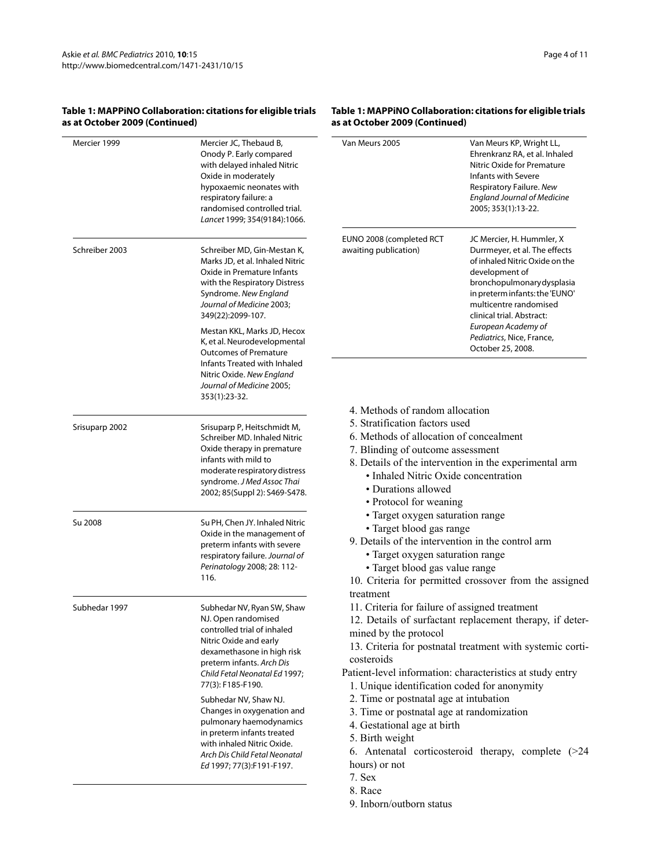# **Table 1: MAPPiNO Collaboration: citations for eligible trials as at October 2009 (Continued)**

# **Table 1: MAPPiNO Collaboration: citations for eligible trials as at October 2009 (Continued)**

| Mercier 1999   | Mercier JC, Thebaud B,<br>Onody P. Early compared<br>with delayed inhaled Nitric<br>Oxide in moderately<br>hypoxaemic neonates with<br>respiratory failure: a<br>randomised controlled trial.<br>Lancet 1999; 354(9184):1066.           | Van Meurs 2005                                                                                                                                                                                                                                                                                                                                                                                                                                                                                                                                                         | Van Meurs KP, Wright LL,<br>Ehrenkranz RA, et al. Inhaled<br>Nitric Oxide for Premature<br>Infants with Severe<br>Respiratory Failure. New<br><b>England Journal of Medicine</b><br>2005; 353(1):13-22.                                                                                   |  |
|----------------|-----------------------------------------------------------------------------------------------------------------------------------------------------------------------------------------------------------------------------------------|------------------------------------------------------------------------------------------------------------------------------------------------------------------------------------------------------------------------------------------------------------------------------------------------------------------------------------------------------------------------------------------------------------------------------------------------------------------------------------------------------------------------------------------------------------------------|-------------------------------------------------------------------------------------------------------------------------------------------------------------------------------------------------------------------------------------------------------------------------------------------|--|
| Schreiber 2003 | Schreiber MD, Gin-Mestan K,<br>Marks JD, et al. Inhaled Nitric<br>Oxide in Premature Infants<br>with the Respiratory Distress<br>Syndrome. New England<br>Journal of Medicine 2003;<br>349(22):2099-107.<br>Mestan KKL, Marks JD, Hecox | EUNO 2008 (completed RCT<br>awaiting publication)                                                                                                                                                                                                                                                                                                                                                                                                                                                                                                                      | JC Mercier, H. Hummler, X<br>Durrmeyer, et al. The effects<br>of inhaled Nitric Oxide on the<br>development of<br>bronchopulmonary dysplasia<br>in preterm infants: the 'EUNO'<br>multicentre randomised<br>clinical trial. Abstract:<br>European Academy of<br>Pediatrics, Nice, France, |  |
|                | K, et al. Neurodevelopmental<br><b>Outcomes of Premature</b><br>Infants Treated with Inhaled<br>Nitric Oxide. New England<br>Journal of Medicine 2005;<br>353(1):23-32.                                                                 |                                                                                                                                                                                                                                                                                                                                                                                                                                                                                                                                                                        | October 25, 2008.                                                                                                                                                                                                                                                                         |  |
| Srisuparp 2002 | Srisuparp P, Heitschmidt M,<br>Schreiber MD. Inhaled Nitric<br>Oxide therapy in premature<br>infants with mild to<br>moderate respiratory distress<br>syndrome. J Med Assoc Thai<br>2002; 85(Suppl 2): S469-S478.                       | 4. Methods of random allocation<br>5. Stratification factors used<br>6. Methods of allocation of concealment<br>7. Blinding of outcome assessment<br>8. Details of the intervention in the experimental arm<br>• Inhaled Nitric Oxide concentration<br>• Durations allowed<br>• Protocol for weaning<br>• Target oxygen saturation range<br>• Target blood gas range<br>9. Details of the intervention in the control arm<br>• Target oxygen saturation range<br>• Target blood gas value range<br>10. Criteria for permitted crossover from the assigned<br>treatment |                                                                                                                                                                                                                                                                                           |  |
| Su 2008        | Su PH, Chen JY. Inhaled Nitric<br>Oxide in the management of<br>preterm infants with severe<br>respiratory failure. Journal of<br>Perinatology 2008; 28: 112-<br>116.                                                                   |                                                                                                                                                                                                                                                                                                                                                                                                                                                                                                                                                                        |                                                                                                                                                                                                                                                                                           |  |
| Subhedar 1997  | Subhedar NV, Ryan SW, Shaw<br>NJ. Open randomised<br>controlled trial of inhaled<br>Nitric Oxide and early<br>dexamethasone in high risk<br>preterm infants. Arch Dis<br>Child Fetal Neonatal Ed 1997;<br>77(3): F185-F190.             | 11. Criteria for failure of assigned treatment<br>12. Details of surfactant replacement therapy, if deter-<br>mined by the protocol<br>13. Criteria for postnatal treatment with systemic corti-<br>costeroids<br>Patient-level information: characteristics at study entry<br>1. Unique identification coded for anonymity                                                                                                                                                                                                                                            |                                                                                                                                                                                                                                                                                           |  |
|                | Subhedar NV, Shaw NJ.<br>Changes in oxygenation and<br>pulmonary haemodynamics<br>in preterm infants treated<br>with inhaled Nitric Oxide.<br>Arch Dis Child Fetal Neonatal<br>Ed 1997; 77(3):F191-F197.                                | 2. Time or postnatal age at intubation<br>3. Time or postnatal age at randomization<br>4. Gestational age at birth<br>5. Birth weight<br>6. Antenatal corticosteroid therapy, complete (>24<br>hours) or not<br>7. Sex                                                                                                                                                                                                                                                                                                                                                 |                                                                                                                                                                                                                                                                                           |  |
|                |                                                                                                                                                                                                                                         | 8. Race<br>9. Inborn/outborn status                                                                                                                                                                                                                                                                                                                                                                                                                                                                                                                                    |                                                                                                                                                                                                                                                                                           |  |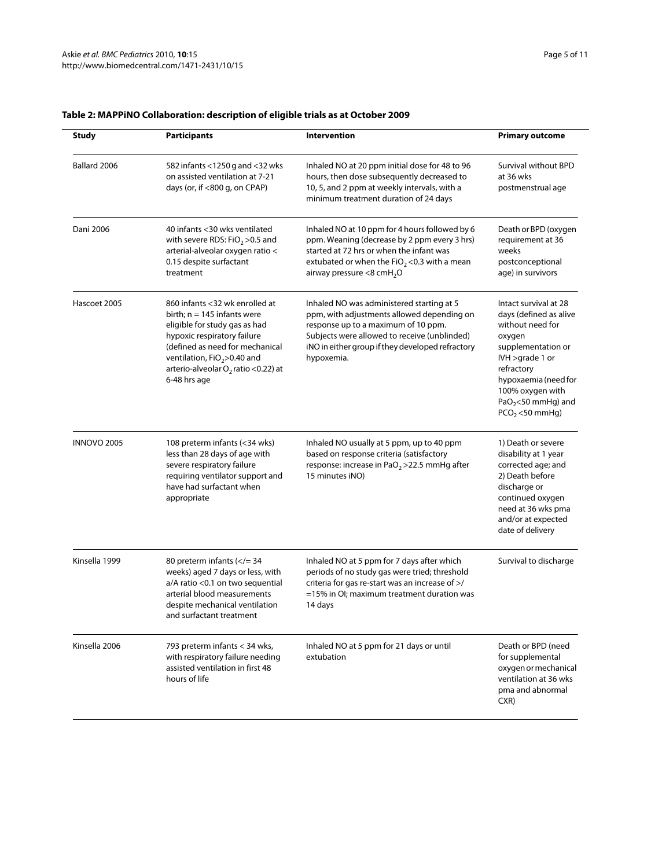| <b>Study</b>       | <b>Participants</b>                                                                                                                                                                                                                                                               | Intervention                                                                                                                                                                                                                                     | <b>Primary outcome</b>                                                                                                                                                                                                                   |
|--------------------|-----------------------------------------------------------------------------------------------------------------------------------------------------------------------------------------------------------------------------------------------------------------------------------|--------------------------------------------------------------------------------------------------------------------------------------------------------------------------------------------------------------------------------------------------|------------------------------------------------------------------------------------------------------------------------------------------------------------------------------------------------------------------------------------------|
| Ballard 2006       | 582 infants <1250 g and <32 wks<br>on assisted ventilation at 7-21<br>days (or, if <800 g, on CPAP)                                                                                                                                                                               | Inhaled NO at 20 ppm initial dose for 48 to 96<br>hours, then dose subsequently decreased to<br>10, 5, and 2 ppm at weekly intervals, with a<br>minimum treatment duration of 24 days                                                            | <b>Survival without BPD</b><br>at 36 wks<br>postmenstrual age                                                                                                                                                                            |
| Dani 2006          | 40 infants <30 wks ventilated<br>with severe RDS: $FiO2 > 0.5$ and<br>arterial-alveolar oxygen ratio <<br>0.15 despite surfactant<br>treatment                                                                                                                                    | Inhaled NO at 10 ppm for 4 hours followed by 6<br>ppm. Weaning (decrease by 2 ppm every 3 hrs)<br>started at 72 hrs or when the infant was<br>extubated or when the FiO <sub>2</sub> < 0.3 with a mean<br>airway pressure <8 $cmH2O$             | Death or BPD (oxygen<br>requirement at 36<br>weeks<br>postconceptional<br>age) in survivors                                                                                                                                              |
| Hascoet 2005       | 860 infants <32 wk enrolled at<br>birth; $n = 145$ infants were<br>eligible for study gas as had<br>hypoxic respiratory failure<br>(defined as need for mechanical<br>ventilation, FiO <sub>2</sub> >0.40 and<br>arterio-alveolar O <sub>2</sub> ratio < 0.22) at<br>6-48 hrs age | Inhaled NO was administered starting at 5<br>ppm, with adjustments allowed depending on<br>response up to a maximum of 10 ppm.<br>Subjects were allowed to receive (unblinded)<br>iNO in either group if they developed refractory<br>hypoxemia. | Intact survival at 28<br>days (defined as alive<br>without need for<br>oxygen<br>supplementation or<br>IVH > grade 1 or<br>refractory<br>hypoxaemia (need for<br>100% oxygen with<br>PaO <sub>2</sub> <50 mmHg) and<br>$PCO2 < 50$ mmHg) |
| <b>INNOVO 2005</b> | 108 preterm infants (<34 wks)<br>less than 28 days of age with<br>severe respiratory failure<br>requiring ventilator support and<br>have had surfactant when<br>appropriate                                                                                                       | Inhaled NO usually at 5 ppm, up to 40 ppm<br>based on response criteria (satisfactory<br>response: increase in PaO <sub>2</sub> > 22.5 mmHg after<br>15 minutes iNO)                                                                             | 1) Death or severe<br>disability at 1 year<br>corrected age; and<br>2) Death before<br>discharge or<br>continued oxygen<br>need at 36 wks pma<br>and/or at expected<br>date of delivery                                                  |
| Kinsella 1999      | 80 preterm infants $\left\langle \frac{-}{5} \right\rangle$ 34<br>weeks) aged 7 days or less, with<br>a/A ratio <0.1 on two sequential<br>arterial blood measurements<br>despite mechanical ventilation<br>and surfactant treatment                                               | Inhaled NO at 5 ppm for 7 days after which<br>periods of no study gas were tried; threshold<br>criteria for gas re-start was an increase of >/<br>=15% in OI; maximum treatment duration was<br>14 days                                          | Survival to discharge                                                                                                                                                                                                                    |
| Kinsella 2006      | 793 preterm infants < 34 wks,<br>with respiratory failure needing<br>assisted ventilation in first 48<br>hours of life                                                                                                                                                            | Inhaled NO at 5 ppm for 21 days or until<br>extubation                                                                                                                                                                                           | Death or BPD (need<br>for supplemental<br>oxygen or mechanical<br>ventilation at 36 wks<br>pma and abnormal<br>CXR)                                                                                                                      |

# **Table 2: MAPPiNO Collaboration: description of eligible trials as at October 2009**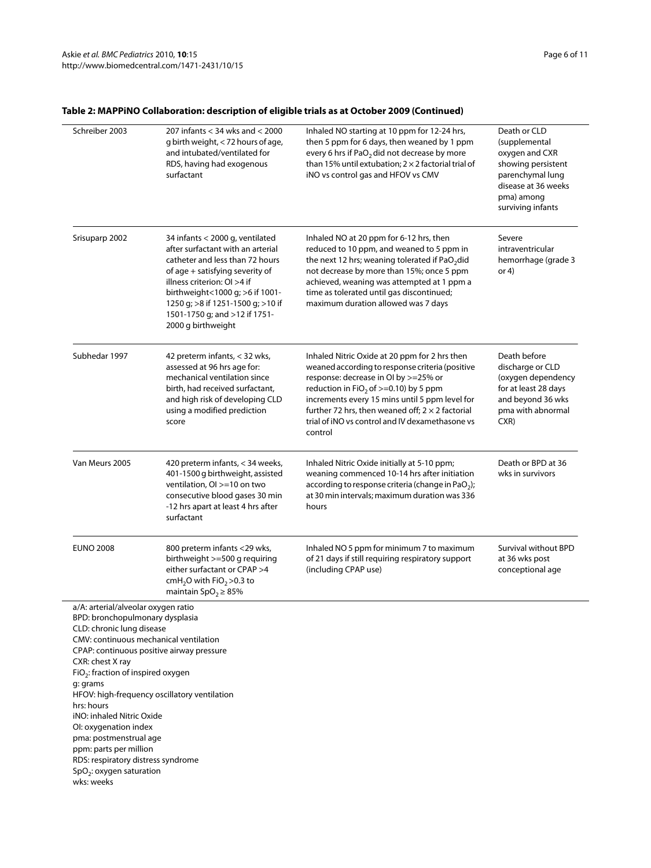| Schreiber 2003                                                         | 207 infants $<$ 34 wks and $<$ 2000<br>g birth weight, < 72 hours of age,<br>and intubated/ventilated for<br>RDS, having had exogenous<br>surfactant                                                                                                                                                       | Inhaled NO starting at 10 ppm for 12-24 hrs,<br>then 5 ppm for 6 days, then weaned by 1 ppm<br>every 6 hrs if PaO <sub>2</sub> did not decrease by more<br>than 15% until extubation; $2 \times 2$ factorial trial of<br>iNO vs control gas and HFOV vs CMV                                                                                                       | Death or CLD<br>(supplemental<br>oxygen and CXR<br>showing persistent<br>parenchymal lung<br>disease at 36 weeks<br>pma) among<br>surviving infants |
|------------------------------------------------------------------------|------------------------------------------------------------------------------------------------------------------------------------------------------------------------------------------------------------------------------------------------------------------------------------------------------------|-------------------------------------------------------------------------------------------------------------------------------------------------------------------------------------------------------------------------------------------------------------------------------------------------------------------------------------------------------------------|-----------------------------------------------------------------------------------------------------------------------------------------------------|
| Srisuparp 2002                                                         | 34 infants < 2000 g, ventilated<br>after surfactant with an arterial<br>catheter and less than 72 hours<br>of age + satisfying severity of<br>illness criterion: OI >4 if<br>birthweight<1000 g; >6 if 1001-<br>1250 g; > 8 if 1251-1500 g; > 10 if<br>1501-1750 g; and >12 if 1751-<br>2000 g birthweight | Inhaled NO at 20 ppm for 6-12 hrs, then<br>reduced to 10 ppm, and weaned to 5 ppm in<br>the next 12 hrs; weaning tolerated if PaO <sub>2</sub> did<br>not decrease by more than 15%; once 5 ppm<br>achieved, weaning was attempted at 1 ppm a<br>time as tolerated until gas discontinued;<br>maximum duration allowed was 7 days                                 | Severe<br>intraventricular<br>hemorrhage (grade 3<br>or 4)                                                                                          |
| Subhedar 1997                                                          | 42 preterm infants, < 32 wks,<br>assessed at 96 hrs age for:<br>mechanical ventilation since<br>birth, had received surfactant,<br>and high risk of developing CLD<br>using a modified prediction<br>score                                                                                                 | Inhaled Nitric Oxide at 20 ppm for 2 hrs then<br>weaned according to response criteria (positive<br>response: decrease in OI by >=25% or<br>reduction in $FiO2$ of $>=0.10$ ) by 5 ppm<br>increments every 15 mins until 5 ppm level for<br>further 72 hrs, then weaned off; $2 \times 2$ factorial<br>trial of iNO vs control and IV dexamethasone vs<br>control | Death before<br>discharge or CLD<br>(oxygen dependency<br>for at least 28 days<br>and beyond 36 wks<br>pma with abnormal<br>CXR                     |
| Van Meurs 2005                                                         | 420 preterm infants, < 34 weeks,<br>401-1500 g birthweight, assisted<br>ventilation, OI >=10 on two<br>consecutive blood gases 30 min<br>-12 hrs apart at least 4 hrs after<br>surfactant                                                                                                                  | Inhaled Nitric Oxide initially at 5-10 ppm;<br>weaning commenced 10-14 hrs after initiation<br>according to response criteria (change in PaO <sub>2</sub> );<br>at 30 min intervals; maximum duration was 336<br>hours                                                                                                                                            | Death or BPD at 36<br>wks in survivors                                                                                                              |
| <b>EUNO 2008</b>                                                       | 800 preterm infants <29 wks,<br>birthweight >=500 g requiring<br>either surfactant or CPAP >4<br>cmH <sub>2</sub> O with FiO <sub>2</sub> > 0.3 to<br>maintain $SpO2 \ge 85%$                                                                                                                              | Inhaled NO 5 ppm for minimum 7 to maximum<br>of 21 days if still requiring respiratory support<br>(including CPAP use)                                                                                                                                                                                                                                            | Survival without BPD<br>at 36 wks post<br>conceptional age                                                                                          |
| a/A: arterial/alveolar oxygen ratio<br>BPD: bronchopulmonary dysplasia |                                                                                                                                                                                                                                                                                                            |                                                                                                                                                                                                                                                                                                                                                                   |                                                                                                                                                     |
| CLD: chronic lung disease                                              |                                                                                                                                                                                                                                                                                                            |                                                                                                                                                                                                                                                                                                                                                                   |                                                                                                                                                     |
| CMV: continuous mechanical ventilation                                 |                                                                                                                                                                                                                                                                                                            |                                                                                                                                                                                                                                                                                                                                                                   |                                                                                                                                                     |
|                                                                        | CPAP: continuous positive airway pressure                                                                                                                                                                                                                                                                  |                                                                                                                                                                                                                                                                                                                                                                   |                                                                                                                                                     |
| CXR: chest X ray<br>FiO <sub>2</sub> : fraction of inspired oxygen     |                                                                                                                                                                                                                                                                                                            |                                                                                                                                                                                                                                                                                                                                                                   |                                                                                                                                                     |
| g: grams                                                               | HFOV: high-frequency oscillatory ventilation                                                                                                                                                                                                                                                               |                                                                                                                                                                                                                                                                                                                                                                   |                                                                                                                                                     |
| hrs: hours                                                             |                                                                                                                                                                                                                                                                                                            |                                                                                                                                                                                                                                                                                                                                                                   |                                                                                                                                                     |
| iNO: inhaled Nitric Oxide                                              |                                                                                                                                                                                                                                                                                                            |                                                                                                                                                                                                                                                                                                                                                                   |                                                                                                                                                     |
| OI: oxygenation index<br>pma: postmenstrual age                        |                                                                                                                                                                                                                                                                                                            |                                                                                                                                                                                                                                                                                                                                                                   |                                                                                                                                                     |
| ppm: parts per million                                                 |                                                                                                                                                                                                                                                                                                            |                                                                                                                                                                                                                                                                                                                                                                   |                                                                                                                                                     |
| RDS: respiratory distress syndrome                                     |                                                                                                                                                                                                                                                                                                            |                                                                                                                                                                                                                                                                                                                                                                   |                                                                                                                                                     |
| SpO <sub>2</sub> : oxygen saturation                                   |                                                                                                                                                                                                                                                                                                            |                                                                                                                                                                                                                                                                                                                                                                   |                                                                                                                                                     |

# **Table 2: MAPPiNO Collaboration: description of eligible trials as at October 2009 (Continued)**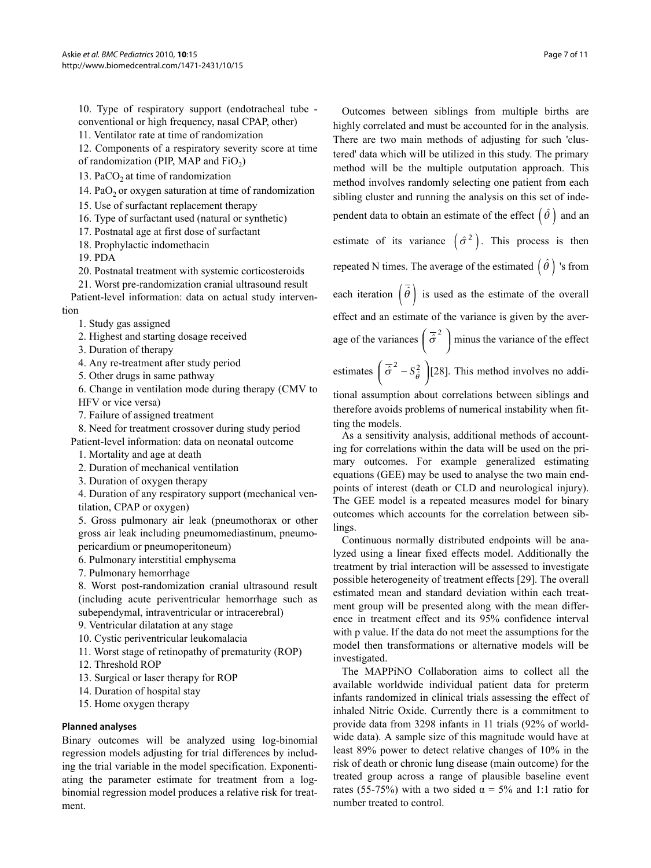10. Type of respiratory support (endotracheal tube conventional or high frequency, nasal CPAP, other)

11. Ventilator rate at time of randomization

12. Components of a respiratory severity score at time

of randomization (PIP, MAP and  $FiO<sub>2</sub>$ )

13. PaCO<sub>2</sub> at time of randomization

14. Pa $O<sub>2</sub>$  or oxygen saturation at time of randomization

15. Use of surfactant replacement therapy

16. Type of surfactant used (natural or synthetic)

17. Postnatal age at first dose of surfactant

18. Prophylactic indomethacin

19. PDA

20. Postnatal treatment with systemic corticosteroids

21. Worst pre-randomization cranial ultrasound result

Patient-level information: data on actual study intervention

1. Study gas assigned

2. Highest and starting dosage received

3. Duration of therapy

4. Any re-treatment after study period

5. Other drugs in same pathway

6. Change in ventilation mode during therapy (CMV to HFV or vice versa)

7. Failure of assigned treatment

8. Need for treatment crossover during study period

Patient-level information: data on neonatal outcome

1. Mortality and age at death

2. Duration of mechanical ventilation

3. Duration of oxygen therapy

4. Duration of any respiratory support (mechanical ventilation, CPAP or oxygen)

5. Gross pulmonary air leak (pneumothorax or other gross air leak including pneumomediastinum, pneumopericardium or pneumoperitoneum)

6. Pulmonary interstitial emphysema

7. Pulmonary hemorrhage

8. Worst post-randomization cranial ultrasound result (including acute periventricular hemorrhage such as subependymal, intraventricular or intracerebral)

9. Ventricular dilatation at any stage

10. Cystic periventricular leukomalacia

11. Worst stage of retinopathy of prematurity (ROP)

12. Threshold ROP

13. Surgical or laser therapy for ROP

14. Duration of hospital stay

15. Home oxygen therapy

## **Planned analyses**

Binary outcomes will be analyzed using log-binomial regression models adjusting for trial differences by including the trial variable in the model specification. Exponentiating the parameter estimate for treatment from a logbinomial regression model produces a relative risk for treatment.

Outcomes between siblings from multiple births are highly correlated and must be accounted for in the analysis. There are two main methods of adjusting for such 'clustered' data which will be utilized in this study. The primary method will be the multiple outputation approach. This method involves randomly selecting one patient from each sibling cluster and running the analysis on this set of independent data to obtain an estimate of the effect  $(\hat{\theta})$  and an estimate of its variance  $(\hat{\sigma}^2)$ . This process is then repeated N times. The average of the estimated  $\left(\hat{\theta}\right)$  's from each iteration  $\left(\hat{\theta}\right)$  is used as the estimate of the overall effect and an estimate of the variance is given by the average of the variances  $\left(\overline{\hat{\sigma}}^2\right)$  minus the variance of the effect estimates  $\left(\frac{\overline{\hat{\sigma}}^2 - S_{\hat{\theta}}^2}{\hat{\sigma}^2}\right)$ [[28](#page-10-0)]. This method involves no addi- $\left(\frac{\overline{\hat{\sigma}}^2}{\hat{\sigma}}\right)$ 

tional assumption about correlations between siblings and therefore avoids problems of numerical instability when fitting the models.

As a sensitivity analysis, additional methods of accounting for correlations within the data will be used on the primary outcomes. For example generalized estimating equations (GEE) may be used to analyse the two main endpoints of interest (death or CLD and neurological injury). The GEE model is a repeated measures model for binary outcomes which accounts for the correlation between siblings.

Continuous normally distributed endpoints will be analyzed using a linear fixed effects model. Additionally the treatment by trial interaction will be assessed to investigate possible heterogeneity of treatment effects [\[29\]](#page-10-1). The overall estimated mean and standard deviation within each treatment group will be presented along with the mean difference in treatment effect and its 95% confidence interval with p value. If the data do not meet the assumptions for the model then transformations or alternative models will be investigated.

The MAPPiNO Collaboration aims to collect all the available worldwide individual patient data for preterm infants randomized in clinical trials assessing the effect of inhaled Nitric Oxide. Currently there is a commitment to provide data from 3298 infants in 11 trials (92% of worldwide data). A sample size of this magnitude would have at least 89% power to detect relative changes of 10% in the risk of death or chronic lung disease (main outcome) for the treated group across a range of plausible baseline event rates (55-75%) with a two sided  $\alpha = 5\%$  and 1:1 ratio for number treated to control.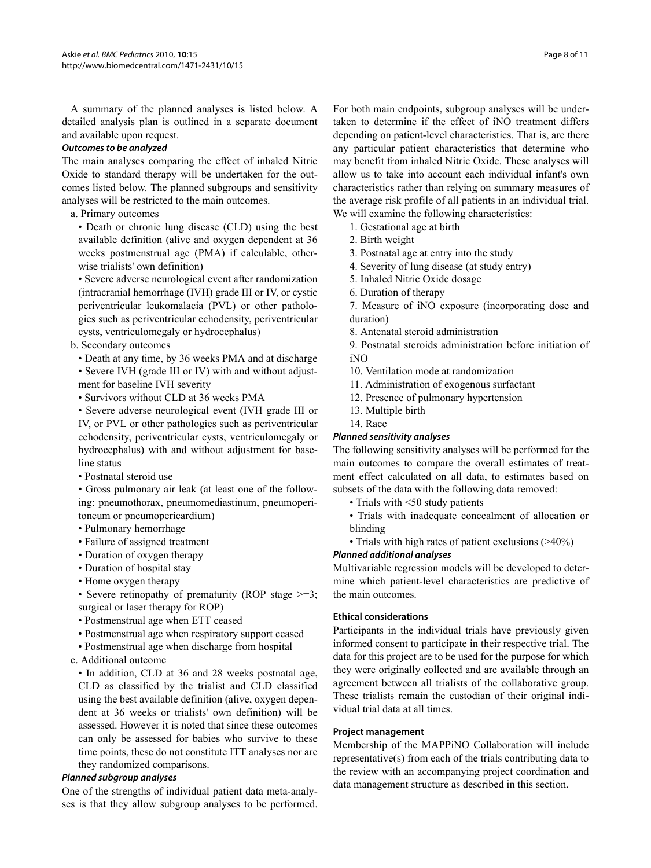A summary of the planned analyses is listed below. A detailed analysis plan is outlined in a separate document and available upon request.

#### **Outcomes to be analyzed**

The main analyses comparing the effect of inhaled Nitric Oxide to standard therapy will be undertaken for the outcomes listed below. The planned subgroups and sensitivity analyses will be restricted to the main outcomes.

a. Primary outcomes

• Death or chronic lung disease (CLD) using the best available definition (alive and oxygen dependent at 36 weeks postmenstrual age (PMA) if calculable, otherwise trialists' own definition)

• Severe adverse neurological event after randomization (intracranial hemorrhage (IVH) grade III or IV, or cystic periventricular leukomalacia (PVL) or other pathologies such as periventricular echodensity, periventricular cysts, ventriculomegaly or hydrocephalus)

- b. Secondary outcomes
- Death at any time, by 36 weeks PMA and at discharge
- Severe IVH (grade III or IV) with and without adjustment for baseline IVH severity
- Survivors without CLD at 36 weeks PMA
- Severe adverse neurological event (IVH grade III or IV, or PVL or other pathologies such as periventricular echodensity, periventricular cysts, ventriculomegaly or hydrocephalus) with and without adjustment for baseline status
- Postnatal steroid use
- Gross pulmonary air leak (at least one of the following: pneumothorax, pneumomediastinum, pneumoperitoneum or pneumopericardium)
- Pulmonary hemorrhage
- Failure of assigned treatment
- Duration of oxygen therapy
- Duration of hospital stay
- Home oxygen therapy
- Severe retinopathy of prematurity (ROP stage  $\geq$ =3; surgical or laser therapy for ROP)
- Postmenstrual age when ETT ceased
- Postmenstrual age when respiratory support ceased
- Postmenstrual age when discharge from hospital
- c. Additional outcome
	- In addition, CLD at 36 and 28 weeks postnatal age, CLD as classified by the trialist and CLD classified using the best available definition (alive, oxygen dependent at 36 weeks or trialists' own definition) will be assessed. However it is noted that since these outcomes can only be assessed for babies who survive to these time points, these do not constitute ITT analyses nor are they randomized comparisons.

## **Planned subgroup analyses**

One of the strengths of individual patient data meta-analyses is that they allow subgroup analyses to be performed. For both main endpoints, subgroup analyses will be undertaken to determine if the effect of iNO treatment differs depending on patient-level characteristics. That is, are there any particular patient characteristics that determine who may benefit from inhaled Nitric Oxide. These analyses will allow us to take into account each individual infant's own characteristics rather than relying on summary measures of the average risk profile of all patients in an individual trial. We will examine the following characteristics:

- 1. Gestational age at birth
- 2. Birth weight
- 3. Postnatal age at entry into the study
- 4. Severity of lung disease (at study entry)
- 5. Inhaled Nitric Oxide dosage
- 6. Duration of therapy
- 7. Measure of iNO exposure (incorporating dose and duration)
- 8. Antenatal steroid administration
- 9. Postnatal steroids administration before initiation of iNO
- 10. Ventilation mode at randomization
- 11. Administration of exogenous surfactant
- 12. Presence of pulmonary hypertension
- 13. Multiple birth
- 14. Race

### **Planned sensitivity analyses**

The following sensitivity analyses will be performed for the main outcomes to compare the overall estimates of treatment effect calculated on all data, to estimates based on subsets of the data with the following data removed:

- Trials with <50 study patients
- Trials with inadequate concealment of allocation or blinding
- Trials with high rates of patient exclusions (>40%)

## **Planned additional analyses**

Multivariable regression models will be developed to determine which patient-level characteristics are predictive of the main outcomes.

#### **Ethical considerations**

Participants in the individual trials have previously given informed consent to participate in their respective trial. The data for this project are to be used for the purpose for which they were originally collected and are available through an agreement between all trialists of the collaborative group. These trialists remain the custodian of their original individual trial data at all times.

#### **Project management**

Membership of the MAPPiNO Collaboration will include representative(s) from each of the trials contributing data to the review with an accompanying project coordination and data management structure as described in this section.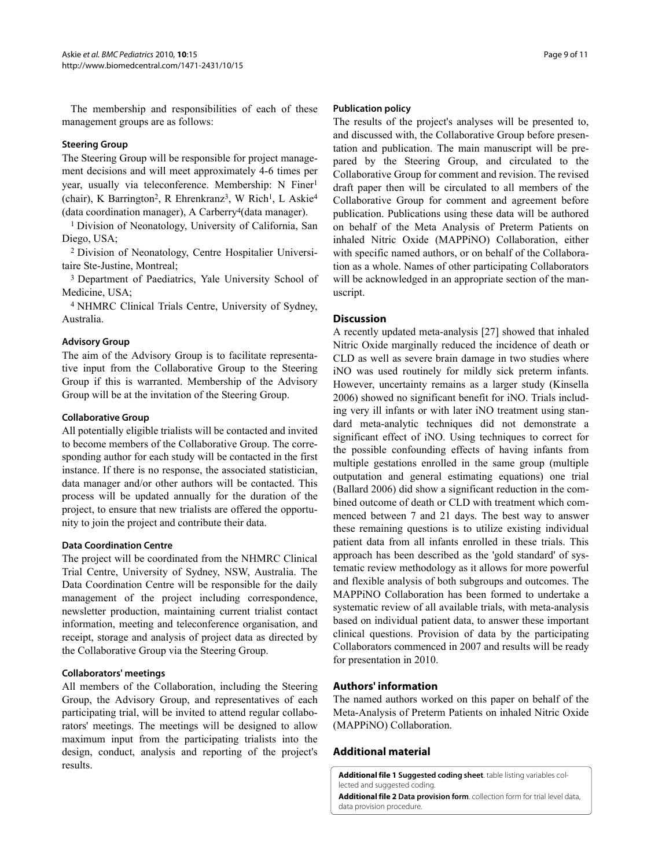The membership and responsibilities of each of these management groups are as follows:

#### **Steering Group**

The Steering Group will be responsible for project management decisions and will meet approximately 4-6 times per year, usually via teleconference. Membership: N Finer1 (chair), K Barrington<sup>2</sup>, R Ehrenkranz<sup>3</sup>, W Rich<sup>1</sup>, L Askie<sup>4</sup> (data coordination manager), A Carberry4(data manager).

<sup>1</sup> Division of Neonatology, University of California, San Diego, USA;

2 Division of Neonatology, Centre Hospitalier Universitaire Ste-Justine, Montreal;

3 Department of Paediatrics, Yale University School of Medicine, USA;

4 NHMRC Clinical Trials Centre, University of Sydney, Australia.

#### **Advisory Group**

The aim of the Advisory Group is to facilitate representative input from the Collaborative Group to the Steering Group if this is warranted. Membership of the Advisory Group will be at the invitation of the Steering Group.

#### **Collaborative Group**

All potentially eligible trialists will be contacted and invited to become members of the Collaborative Group. The corresponding author for each study will be contacted in the first instance. If there is no response, the associated statistician, data manager and/or other authors will be contacted. This process will be updated annually for the duration of the project, to ensure that new trialists are offered the opportunity to join the project and contribute their data.

#### **Data Coordination Centre**

The project will be coordinated from the NHMRC Clinical Trial Centre, University of Sydney, NSW, Australia. The Data Coordination Centre will be responsible for the daily management of the project including correspondence, newsletter production, maintaining current trialist contact information, meeting and teleconference organisation, and receipt, storage and analysis of project data as directed by the Collaborative Group via the Steering Group.

#### **Collaborators' meetings**

All members of the Collaboration, including the Steering Group, the Advisory Group, and representatives of each participating trial, will be invited to attend regular collaborators' meetings. The meetings will be designed to allow maximum input from the participating trialists into the design, conduct, analysis and reporting of the project's results.

#### Page 9 of 11

#### **Publication policy**

The results of the project's analyses will be presented to, and discussed with, the Collaborative Group before presentation and publication. The main manuscript will be prepared by the Steering Group, and circulated to the Collaborative Group for comment and revision. The revised draft paper then will be circulated to all members of the Collaborative Group for comment and agreement before publication. Publications using these data will be authored on behalf of the Meta Analysis of Preterm Patients on inhaled Nitric Oxide (MAPPiNO) Collaboration, either with specific named authors, or on behalf of the Collaboration as a whole. Names of other participating Collaborators will be acknowledged in an appropriate section of the manuscript.

## **Discussion**

A recently updated meta-analysis [\[27](#page-9-15)] showed that inhaled Nitric Oxide marginally reduced the incidence of death or CLD as well as severe brain damage in two studies where iNO was used routinely for mildly sick preterm infants. However, uncertainty remains as a larger study (Kinsella 2006) showed no significant benefit for iNO. Trials including very ill infants or with later iNO treatment using standard meta-analytic techniques did not demonstrate a significant effect of iNO. Using techniques to correct for the possible confounding effects of having infants from multiple gestations enrolled in the same group (multiple outputation and general estimating equations) one trial (Ballard 2006) did show a significant reduction in the combined outcome of death or CLD with treatment which commenced between 7 and 21 days. The best way to answer these remaining questions is to utilize existing individual patient data from all infants enrolled in these trials. This approach has been described as the 'gold standard' of systematic review methodology as it allows for more powerful and flexible analysis of both subgroups and outcomes. The MAPPiNO Collaboration has been formed to undertake a systematic review of all available trials, with meta-analysis based on individual patient data, to answer these important clinical questions. Provision of data by the participating Collaborators commenced in 2007 and results will be ready for presentation in 2010.

## **Authors' information**

The named authors worked on this paper on behalf of the Meta-Analysis of Preterm Patients on inhaled Nitric Oxide (MAPPiNO) Collaboration.

## **Additional material**

<span id="page-8-0"></span>**[Additional file 1](http://www.biomedcentral.com/content/supplementary/1471-2431-10-15-S1.PDF) Suggested coding sheet**. table listing variables collected and suggested coding.

<span id="page-8-1"></span>**[Additional file 2](http://www.biomedcentral.com/content/supplementary/1471-2431-10-15-S2.PDF) Data provision form**. collection form for trial level data, data provision procedure.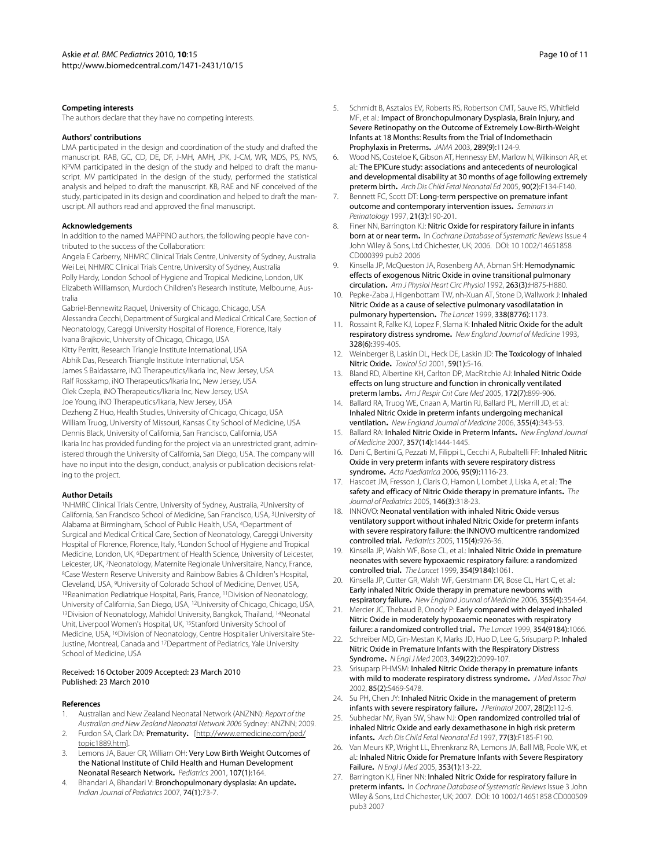#### **Competing interests**

The authors declare that they have no competing interests.

#### **Authors' contributions**

LMA participated in the design and coordination of the study and drafted the manuscript. RAB, GC, CD, DE, DF, J-MH, AMH, JPK, J-CM, WR, MDS, PS, NVS, KPVM participated in the design of the study and helped to draft the manuscript. MV participated in the design of the study, performed the statistical analysis and helped to draft the manuscript. KB, RAE and NF conceived of the study, participated in its design and coordination and helped to draft the manuscript. All authors read and approved the final manuscript.

#### **Acknowledgements**

In addition to the named MAPPiNO authors, the following people have contributed to the success of the Collaboration:

Angela E Carberry, NHMRC Clinical Trials Centre, University of Sydney, Australia Wei Lei, NHMRC Clinical Trials Centre, University of Sydney, Australia Polly Hardy, London School of Hygiene and Tropical Medicine, London, UK Elizabeth Williamson, Murdoch Children's Research Institute, Melbourne, Australia

Gabriel-Bennewitz Raquel, University of Chicago, Chicago, USA Alessandra Cecchi, Department of Surgical and Medical Critical Care, Section of Neonatology, Careggi University Hospital of Florence, Florence, Italy Ivana Brajkovic, University of Chicago, Chicago, USA Kitty Perritt, Research Triangle Institute International, USA Abhik Das, Research Triangle Institute International, USA James S Baldassarre, iNO Therapeutics/Ikaria Inc, New Jersey, USA Ralf Rosskamp, iNO Therapeutics/Ikaria Inc, New Jersey, USA Olek Czepla, iNO Therapeutics/Ikaria Inc, New Jersey, USA Joe Young, iNO Therapeutics/Ikaria, New Jersey, USA Dezheng Z Huo, Health Studies, University of Chicago, Chicago, USA William Truog, University of Missouri, Kansas City School of Medicine, USA Dennis Black, University of California, San Francisco, California, USA Ikaria Inc has provided funding for the project via an unrestricted grant, administered through the University of California, San Diego, USA. The company will have no input into the design, conduct, analysis or publication decisions relating to the project.

#### **Author Details**

1NHMRC Clinical Trials Centre, University of Sydney, Australia, 2University of California, San Francisco School of Medicine, San Francisco, USA, 3University of Alabama at Birmingham, School of Public Health, USA, 4Department of Surgical and Medical Critical Care, Section of Neonatology, Careggi University Hospital of Florence, Florence, Italy, 5London School of Hygiene and Tropical Medicine, London, UK, 6Department of Health Science, University of Leicester, Leicester, UK, 7Neonatology, Maternite Regionale Universitaire, Nancy, France, 8Case Western Reserve University and Rainbow Babies & Children's Hospital, Cleveland, USA, 9University of Colorado School of Medicine, Denver, USA, <sup>10</sup>Reanimation Pediatrique Hospital, Paris, France, <sup>11</sup>Division of Neonatology,<br>University of California, San Diego, USA, <sup>12</sup>University of Chicago, Chicago, USA, <sup>13</sup>Division of Neonatology, Mahidol University, Bangkok, Thailand, <sup>14</sup>Neonatal Unit, Liverpool Women's Hospital, UK, 15Stanford University School of Medicine, USA, 16Division of Neonatology, Centre Hospitalier Universitaire Ste-Justine, Montreal, Canada and 17Department of Pediatrics, Yale University School of Medicine, USA

#### Received: 16 October 2009 Accepted: 23 March 2010 Published: 23 March 2010

#### **References**

- <span id="page-9-0"></span>Australian and New Zealand Neonatal Network (ANZNN): Report of the Australian and New Zealand Neonatal Network 2006 Sydney: ANZNN; 2009.
- <span id="page-9-1"></span>2. Furdon SA, Clark DA: Prematurity**.** [\[http://www.emedicine.com/ped/](http://www.emedicine.com/ped/topic1889.htm) [topic1889.htm](http://www.emedicine.com/ped/topic1889.htm)].
- <span id="page-9-2"></span>3. Lemons JA, Bauer CR, William OH: Very Low Birth Weight Outcomes of the National Institute of Child Health and Human Development Neonatal Research Network**.** Pediatrics 2001, 107(1):164.
- <span id="page-9-3"></span>4. Bhandari A, Bhandari V: Bronchopulmonary dysplasia: An update**.** Indian Journal of Pediatrics 2007, 74(1):73-7.
- <span id="page-9-4"></span>5. Schmidt B, Asztalos EV, Roberts RS, Robertson CMT, Sauve RS, Whitfield MF, et al.: Impact of Bronchopulmonary Dysplasia, Brain Injury, and Severe Retinopathy on the Outcome of Extremely Low-Birth-Weight Infants at 18 Months: Results from the Trial of Indomethacin Prophylaxis in Preterms**[.](http://www.ncbi.nlm.nih.gov/entrez/query.fcgi?cmd=Retrieve&db=PubMed&dopt=Abstract&list_uids=12622582)** JAMA 2003, 289(9):1124-9.
- <span id="page-9-5"></span>6. Wood NS, Costeloe K, Gibson AT, Hennessy EM, Marlow N, Wilkinson AR, et al.: The EPICure study: associations and antecedents of neurological and developmental disability at 30 months of age following extremely preterm birth**.** Arch Dis Child Fetal Neonatal Ed 2005, 90(2):F134-F140.
- <span id="page-9-6"></span>7. Bennett FC, Scott DT: Long-term perspective on premature infant outcome and contemporary intervention issues**.** Seminars in Perinatology 1997, 21(3):190-201.
- <span id="page-9-7"></span>8. Finer NN, Barrington KJ: Nitric Oxide for respiratory failure in infants born at or near term**.** In Cochrane Database of Systematic Reviews Issue 4 John Wiley & Sons, Ltd Chichester, UK; 2006. DOI: 10 1002/14651858 CD000399 pub2 2006
- <span id="page-9-8"></span>9. Kinsella JP, McQueston JA, Rosenberg AA, Abman SH: Hemodynamic effects of exogenous Nitric Oxide in ovine transitional pulmonary circulation**.** Am J Physiol Heart Circ Physiol 1992, 263(3):H875-H880.
- <span id="page-9-9"></span>10. Pepke-Zaba J, Higenbottam TW, nh-Xuan AT, Stone D, Wallwork J: Inhaled Nitric Oxide as a cause of selective pulmonary vasodilatation in pulmonary hypertension**.** The Lancet 1999, 338(8776):1173.
- <span id="page-9-10"></span>11. Rossaint R, Falke KJ, Lopez F, Slama K: Inhaled Nitric Oxide for the adult respiratory distress syndrome**.** New England Journal of Medicine 1993, 328(6):399-405.
- <span id="page-9-11"></span>12. Weinberger B, Laskin DL, Heck DE, Laskin JD: The Toxicology of Inhaled Nitric Oxide**[.](http://www.ncbi.nlm.nih.gov/entrez/query.fcgi?cmd=Retrieve&db=PubMed&dopt=Abstract&list_uids=11134540)** Toxicol Sci 2001, 59(1):5-16.
- <span id="page-9-12"></span>13. Bland RD, Albertine KH, Carlton DP, MacRitchie AJ: Inhaled Nitric Oxide effects on lung structure and function in chronically ventilated preterm lambs**[.](http://www.ncbi.nlm.nih.gov/entrez/query.fcgi?cmd=Retrieve&db=PubMed&dopt=Abstract&list_uids=15976381)** Am J Respir Crit Care Med 2005, 172(7):899-906.
- <span id="page-9-13"></span>14. Ballard RA, Truog WE, Cnaan A, Martin RJ, Ballard PL, Merrill JD, et al.: Inhaled Nitric Oxide in preterm infants undergoing mechanical ventilation**.** New England Journal of Medicine 2006, 355(4):343-53.
- <span id="page-9-19"></span>15. Ballard RA: Inhaled Nitric Oxide in Preterm Infants**.** New England Journal of Medicine 2007, 357(14):1444-1445.
- 16. Dani C, Bertini G, Pezzati M, Filippi L, Cecchi A, Rubaltelli FF: Inhaled Nitric Oxide in very preterm infants with severe respiratory distress syndrome**.** Acta Paediatrica 2006, 95(9):1116-23.
- 17. Hascoet JM, Fresson J, Claris O, Hamon I, Lombet J, Liska A, et al.: The safety and efficacy of Nitric Oxide therapy in premature infants**.** The Journal of Pediatrics 2005, 146(3):318-23.
- <span id="page-9-18"></span>18. INNOVO: Neonatal ventilation with inhaled Nitric Oxide versus ventilatory support without inhaled Nitric Oxide for preterm infants with severe respiratory failure: the INNOVO multicentre randomized controlled trial**[.](http://www.ncbi.nlm.nih.gov/entrez/query.fcgi?cmd=Retrieve&db=PubMed&dopt=Abstract&list_uids=15805366)** Pediatrics 2005, 115(4):926-36.
- 19. Kinsella JP, Walsh WF, Bose CL, et al.: Inhaled Nitric Oxide in premature neonates with severe hypoxaemic respiratory failure: a randomized controlled trial**.** The Lancet 1999, 354(9184):1061.
- <span id="page-9-17"></span>20. Kinsella JP, Cutter GR, Walsh WF, Gerstmann DR, Bose CL, Hart C, et al.: Early inhaled Nitric Oxide therapy in premature newborns with respiratory failure**.** New England Journal of Medicine 2006, 355(4):354-64.
- 21. Mercier JC, Thebaud B, Onody P: Early compared with delayed inhaled Nitric Oxide in moderately hypoxaemic neonates with respiratory failure: a randomized controlled trial**.** The Lancet 1999, 354(9184):1066.
- <span id="page-9-16"></span>22. Schreiber MD, Gin-Mestan K, Marks JD, Huo D, Lee G, Srisuparp P: Inhaled Nitric Oxide in Premature Infants with the Respiratory Distress Syndrome**.** N Engl J Med 2003, 349(22):2099-107.
- 23. Srisuparp PHMSM: Inhaled Nitric Oxide therapy in premature infants with mild to moderate respiratory distress syndrome**.** J Med Assoc Thai 2002, 85(2):S469-S478.
- 24. Su PH, Chen JY: Inhaled Nitric Oxide in the management of preterm infants with severe respiratory failure**.** J Perinatol 2007, 28(2):112-6.
- 25. Subhedar NV, Ryan SW, Shaw NJ: Open randomized controlled trial of inhaled Nitric Oxide and early dexamethasone in high risk preterm infants**.** Arch Dis Child Fetal Neonatal Ed 1997, 77(3):F185-F190.
- <span id="page-9-14"></span>26. Van Meurs KP, Wright LL, Ehrenkranz RA, Lemons JA, Ball MB, Poole WK, et al.: Inhaled Nitric Oxide for Premature Infants with Severe Respiratory Failure**[.](http://www.ncbi.nlm.nih.gov/entrez/query.fcgi?cmd=Retrieve&db=PubMed&dopt=Abstract&list_uids=16000352)** N Engl J Med 2005, 353(1):13-22.
- <span id="page-9-15"></span>27. Barrington KJ, Finer NN: Inhaled Nitric Oxide for respiratory failure in preterm infants**.** In Cochrane Database of Systematic Reviews Issue 3 John Wiley & Sons, Ltd Chichester, UK; 2007. DOI: 10 1002/14651858 CD000509 pub3 2007